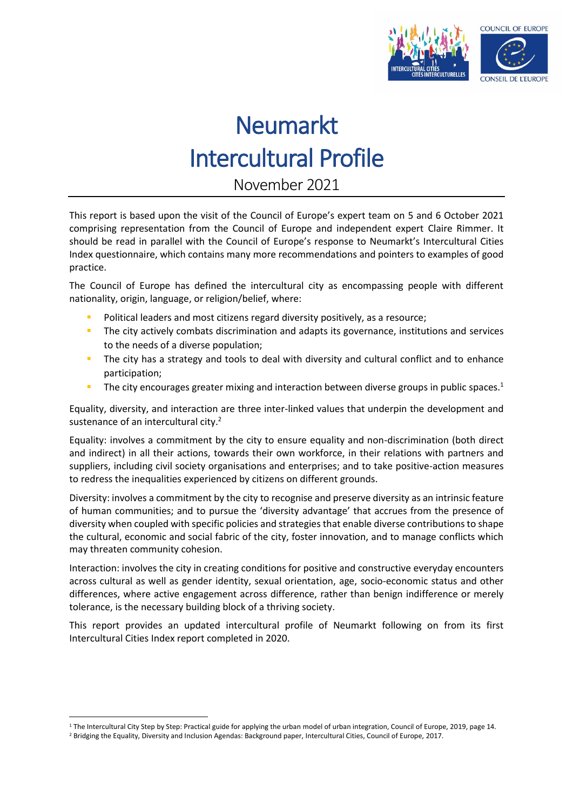

November 2021

This report is based upon the visit of the Council of Europe's expert team on 5 and 6 October 2021 comprising representation from the Council of Europe and independent expert Claire Rimmer. It should be read in parallel with the Council of Europe's response to Neumarkt's Intercultural Cities Index questionnaire, which contains many more recommendations and pointers to examples of good practice.

The Council of Europe has defined the intercultural city as encompassing people with different nationality, origin, language, or religion/belief, where:

- Political leaders and most citizens regard diversity positively, as a resource;
- **The city actively combats discrimination and adapts its governance, institutions and services** to the needs of a diverse population;
- The city has a strategy and tools to deal with diversity and cultural conflict and to enhance participation;
- The city encourages greater mixing and interaction between diverse groups in public spaces.<sup>1</sup>

Equality, diversity, and interaction are three inter-linked values that underpin the development and sustenance of an intercultural city.<sup>2</sup>

Equality: involves a commitment by the city to ensure equality and non-discrimination (both direct and indirect) in all their actions, towards their own workforce, in their relations with partners and suppliers, including civil society organisations and enterprises; and to take positive-action measures to redress the inequalities experienced by citizens on different grounds.

Diversity: involves a commitment by the city to recognise and preserve diversity as an intrinsic feature of human communities; and to pursue the 'diversity advantage' that accrues from the presence of diversity when coupled with specific policies and strategies that enable diverse contributions to shape the cultural, economic and social fabric of the city, foster innovation, and to manage conflicts which may threaten community cohesion.

Interaction: involves the city in creating conditions for positive and constructive everyday encounters across cultural as well as gender identity, sexual orientation, age, socio-economic status and other differences, where active engagement across difference, rather than benign indifference or merely tolerance, is the necessary building block of a thriving society.

This report provides an updated intercultural profile of Neumarkt following on from its first Intercultural Cities Index report completed in 2020.

1

<sup>&</sup>lt;sup>1</sup> The Intercultural City Step by Step: Practical guide for applying the urban model of urban integration, Council of Europe, 2019, page 14.

<sup>2</sup> Bridging the Equality, Diversity and Inclusion Agendas: Background paper, Intercultural Cities, Council of Europe, 2017.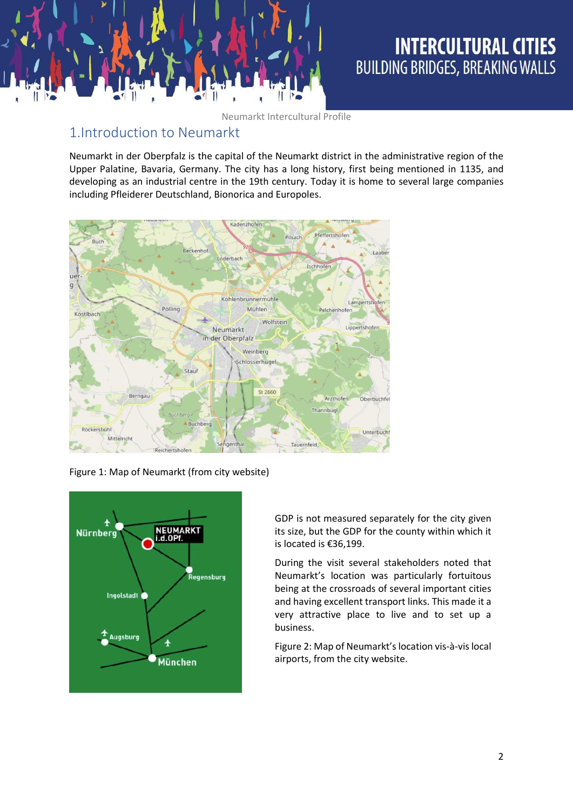

# **INTERCULTURAL CITIES BUILDING BRIDGES, BREAKING WALLS**

Neumarkt Intercultural Profile

### 1.Introduction to Neumarkt

Neumarkt in der Oberpfalz is the capital of the Neumarkt district in the administrative region of the Upper Palatine, Bavaria, Germany. The city has a long history, first being mentioned in 1135, and developing as an industrial centre in the 19th century. Today it is home to several large companies including Pfleiderer Deutschland, Bionorica and Europoles.



Figure 1: Map of Neumarkt (from city website)



GDP is not measured separately for the city given its size, but the GDP for the county within which it is located is €36,199.

During the visit several stakeholders noted that Neumarkt's location was particularly fortuitous being at the crossroads of several important cities and having excellent transport links. This made it a very attractive place to live and to set up a business.

Figure 2: Map of Neumarkt's location vis-à-vis local airports, from the city website.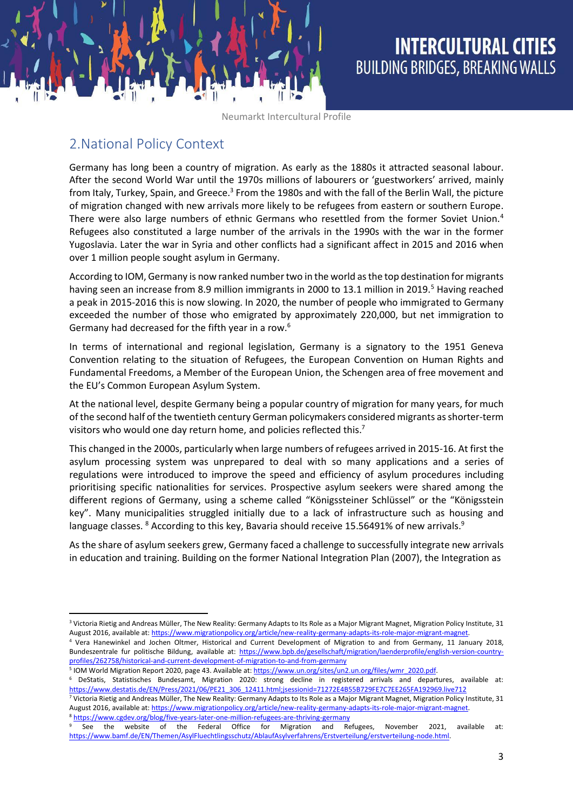### 2.National Policy Context

**.** 

Germany has long been a country of migration. As early as the 1880s it attracted seasonal labour. After the second World War until the 1970s millions of labourers or 'guestworkers' arrived, mainly from Italy, Turkey, Spain, and Greece.<sup>3</sup> From the 1980s and with the fall of the Berlin Wall, the picture of migration changed with new arrivals more likely to be refugees from eastern or southern Europe. There were also large numbers of ethnic Germans who resettled from the former Soviet Union.<sup>4</sup> Refugees also constituted a large number of the arrivals in the 1990s with the war in the former Yugoslavia. Later the war in Syria and other conflicts had a significant affect in 2015 and 2016 when over 1 million people sought asylum in Germany.

According to IOM, Germany is now ranked number two in the world as the top destination for migrants having seen an increase from 8.9 million immigrants in 2000 to 13.1 million in 2019.<sup>5</sup> Having reached a peak in 2015-2016 this is now slowing. In 2020, the number of people who immigrated to Germany exceeded the number of those who emigrated by approximately 220,000, but net immigration to Germany had decreased for the fifth year in a row.<sup>6</sup>

In terms of international and regional legislation, Germany is a signatory to the 1951 Geneva Convention relating to the situation of Refugees, the European Convention on Human Rights and Fundamental Freedoms, a Member of the European Union, the Schengen area of free movement and the EU's Common European Asylum System.

At the national level, despite Germany being a popular country of migration for many years, for much of the second half of the twentieth century German policymakers considered migrants as shorter-term visitors who would one day return home, and policies reflected this.<sup>7</sup>

This changed in the 2000s, particularly when large numbers of refugees arrived in 2015-16. At first the asylum processing system was unprepared to deal with so many applications and a series of regulations were introduced to improve the speed and efficiency of asylum procedures including prioritising specific nationalities for services. Prospective asylum seekers were shared among the different regions of Germany, using a scheme called "Königssteiner Schlüssel" or the "Königsstein key". Many municipalities struggled initially due to a lack of infrastructure such as housing and language classes. <sup>8</sup> According to this key, Bavaria should receive 15.56491% of new arrivals.<sup>9</sup>

As the share of asylum seekers grew, Germany faced a challenge to successfully integrate new arrivals in education and training. Building on the former National Integration Plan (2007), the Integration as

<sup>5</sup> IOM World Migration Report 2020, page 43. Available at[: https://www.un.org/sites/un2.un.org/files/wmr\\_2020.pdf.](https://www.un.org/sites/un2.un.org/files/wmr_2020.pdf)

<sup>7</sup> Victoria Rietig and Andreas Müller, The New Reality: Germany Adapts to Its Role as a Major Migrant Magnet, Migration Policy Institute, 31 August 2016, available at[: https://www.migrationpolicy.org/article/new-reality-germany-adapts-its-role-major-migrant-magnet.](https://www.migrationpolicy.org/article/new-reality-germany-adapts-its-role-major-migrant-magnet) <sup>8</sup> <https://www.cgdev.org/blog/five-years-later-one-million-refugees-are-thriving-germany>

<sup>&</sup>lt;sup>3</sup> Victoria Rietig and Andreas Müller, The New Reality: Germany Adapts to Its Role as a Major Migrant Magnet, Migration Policy Institute, 31 August 2016, available at: https://www.migrationpolicy.org/article/new-reality-germany-adapts-its-role-major-migrant-magnet.

<sup>4</sup> Vera Hanewinkel and Jochen Oltmer, Historical and Current Development of Migration to and from Germany, 11 January 2018, Bundeszentrale fur politische Bildung, available at: [https://www.bpb.de/gesellschaft/migration/laenderprofile/english-version-country](https://www.bpb.de/gesellschaft/migration/laenderprofile/english-version-country-profiles/262758/historical-and-current-development-of-migration-to-and-from-germany)[profiles/262758/historical-and-current-development-of-migration-to-and-from-germany](https://www.bpb.de/gesellschaft/migration/laenderprofile/english-version-country-profiles/262758/historical-and-current-development-of-migration-to-and-from-germany)

<sup>6</sup> DeStatis, Statistisches Bundesamt, Migration 2020: strong decline in registered arrivals and departures, available at: [https://www.destatis.de/EN/Press/2021/06/PE21\\_306\\_12411.html;jsessionid=71272E4B55B729FE7C7EE265FA192969.live712](https://www.destatis.de/EN/Press/2021/06/PE21_306_12411.html;jsessionid=71272E4B55B729FE7C7EE265FA192969.live712)

<sup>9</sup> See the website of the Federal Office for Migration and Refugees, November 2021, available at: [https://www.bamf.de/EN/Themen/AsylFluechtlingsschutz/AblaufAsylverfahrens/Erstverteilung/erstverteilung-node.html.](https://www.bamf.de/EN/Themen/AsylFluechtlingsschutz/AblaufAsylverfahrens/Erstverteilung/erstverteilung-node.html)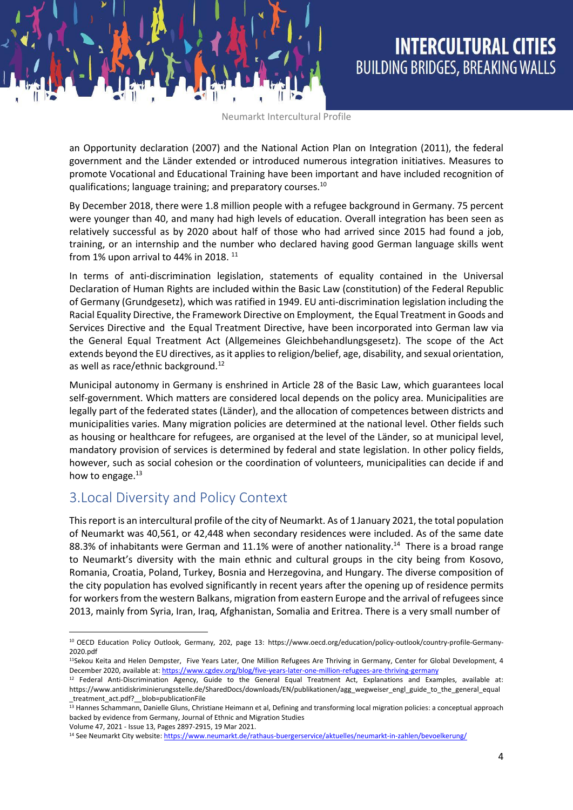an Opportunity declaration (2007) and the National Action Plan on Integration (2011), the federal government and the Länder extended or introduced numerous integration initiatives. Measures to promote Vocational and Educational Training have been important and have included recognition of qualifications; language training; and preparatory courses.<sup>10</sup>

By December 2018, there were 1.8 million people with a refugee background in Germany. 75 percent were younger than 40, and many had high levels of education. Overall integration has been seen as relatively successful as by 2020 about half of those who had arrived since 2015 had found a job, training, or an internship and the number who declared having good German language skills went from 1% upon arrival to 44% in 2018.  $^{11}$ 

In terms of anti-discrimination legislation, statements of equality contained in the Universal Declaration of Human Rights are included within the Basic Law (constitution) of the Federal Republic of Germany (Grundgesetz), which was ratified in 1949. EU anti-discrimination legislation including the Racial Equality Directive, the Framework Directive on Employment, the Equal Treatment in Goods and Services Directive and the Equal Treatment Directive, have been incorporated into German law via the General Equal Treatment Act (Allgemeines Gleichbehandlungsgesetz). The scope of the Act extends beyond the EU directives, as it applies to religion/belief, age, disability, and sexual orientation, as well as race/ethnic background.<sup>12</sup>

Municipal autonomy in Germany is enshrined in Article 28 of the Basic Law, which guarantees local self-government. Which matters are considered local depends on the policy area. Municipalities are legally part of the federated states (Länder), and the allocation of competences between districts and municipalities varies. Many migration policies are determined at the national level. Other fields such as housing or healthcare for refugees, are organised at the level of the Länder, so at municipal level, mandatory provision of services is determined by federal and state legislation. In other policy fields, however, such as social cohesion or the coordination of volunteers, municipalities can decide if and how to engage. $13$ 

### 3.Local Diversity and Policy Context

This report is an intercultural profile of the city of Neumarkt. As of 1January 2021, the total population of Neumarkt was 40,561, or 42,448 when secondary residences were included. As of the same date 88.3% of inhabitants were German and 11.1% were of another nationality.<sup>14</sup> There is a broad range to Neumarkt's diversity with the main ethnic and cultural groups in the city being from Kosovo, Romania, Croatia, Poland, Turkey, Bosnia and Herzegovina, and Hungary. The diverse composition of the city population has evolved significantly in recent years after the opening up of residence permits for workers from the western Balkans, migration from eastern Europe and the arrival of refugees since 2013, mainly from Syria, Iran, Iraq, Afghanistan, Somalia and Eritrea. There is a very small number of

**<sup>.</sup>** <sup>10</sup> OECD Education Policy Outlook, Germany, 202, page 13: [https://www.oecd.org/education/policy-outlook/country-profile-Germany-](https://www.oecd.org/education/policy-outlook/country-profile-Germany-2020.pdf)[2020.pdf](https://www.oecd.org/education/policy-outlook/country-profile-Germany-2020.pdf)

<sup>&</sup>lt;sup>11</sup>Sekou Keita and Helen Dempster, Five Years Later, One Million Refugees Are Thriving in Germany, Center for Global Development, 4 December 2020, available at[: https://www.cgdev.org/blog/five-years-later-one-million-refugees-are-thriving-germany](https://www.cgdev.org/blog/five-years-later-one-million-refugees-are-thriving-germany)

<sup>12</sup> Federal Anti-Discrimination Agency, Guide to the General Equal Treatment Act, Explanations and Examples, available at: https://www.antidiskriminierungsstelle.de/SharedDocs/downloads/EN/publikationen/agg\_wegweiser\_engl\_guide\_to\_the\_general\_equal \_treatment\_act.pdf?\_\_blob=publicationFile

<sup>&</sup>lt;sup>13</sup> Hannes Schammann, Danielle Gluns, Christiane Heimann et al, Defining and transforming local migration policies: a conceptual approach backed by evidence from Germany, Journal of Ethnic and Migration Studies

Volume 47, 2021 - Issue 13, Pages 2897-2915, 19 Mar 2021.

<sup>&</sup>lt;sup>14</sup> See Neumarkt City website[: https://www.neumarkt.de/rathaus-buergerservice/aktuelles/neumarkt-in-zahlen/bevoelkerung/](https://www.neumarkt.de/rathaus-buergerservice/aktuelles/neumarkt-in-zahlen/bevoelkerung/)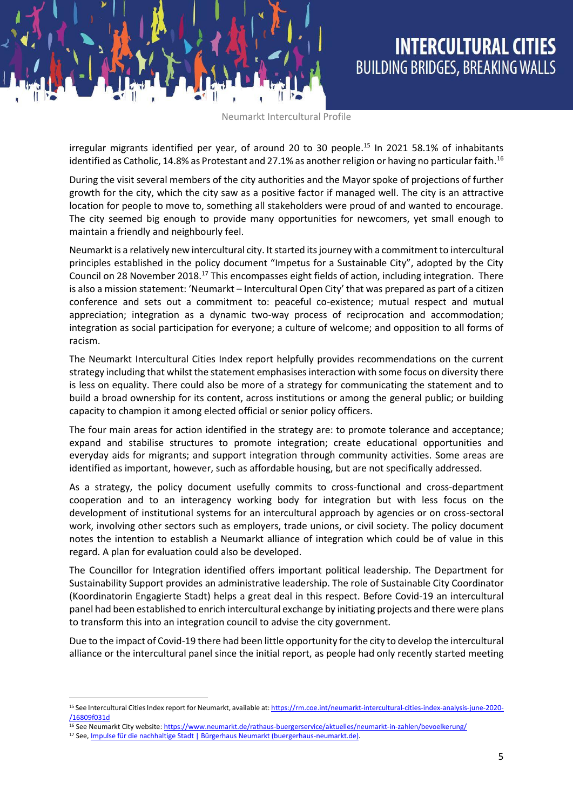irregular migrants identified per year, of around 20 to 30 people.<sup>15</sup> In 2021 58.1% of inhabitants identified as Catholic, 14.8% as Protestant and 27.1% as another religion or having no particular faith.<sup>16</sup>

During the visit several members of the city authorities and the Mayor spoke of projections of further growth for the city, which the city saw as a positive factor if managed well. The city is an attractive location for people to move to, something all stakeholders were proud of and wanted to encourage. The city seemed big enough to provide many opportunities for newcomers, yet small enough to maintain a friendly and neighbourly feel.

Neumarkt is a relatively new intercultural city. It started its journey with a commitment to intercultural principles established in the policy document "Impetus for a Sustainable City", adopted by the City Council on 28 November 2018.<sup>17</sup> This encompasses eight fields of action, including integration. There is also a mission statement: 'Neumarkt – Intercultural Open City' that was prepared as part of a citizen conference and sets out a commitment to: peaceful co-existence; mutual respect and mutual appreciation; integration as a dynamic two-way process of reciprocation and accommodation; integration as social participation for everyone; a culture of welcome; and opposition to all forms of racism.

The Neumarkt Intercultural Cities Index report helpfully provides recommendations on the current strategy including that whilst the statement emphasises interaction with some focus on diversity there is less on equality. There could also be more of a strategy for communicating the statement and to build a broad ownership for its content, across institutions or among the general public; or building capacity to champion it among elected official or senior policy officers.

The four main areas for action identified in the strategy are: to promote tolerance and acceptance; expand and stabilise structures to promote integration; create educational opportunities and everyday aids for migrants; and support integration through community activities. Some areas are identified as important, however, such as affordable housing, but are not specifically addressed.

As a strategy, the policy document usefully commits to cross-functional and cross-department cooperation and to an interagency working body for integration but with less focus on the development of institutional systems for an intercultural approach by agencies or on cross-sectoral work, involving other sectors such as employers, trade unions, or civil society. The policy document notes the intention to establish a Neumarkt alliance of integration which could be of value in this regard. A plan for evaluation could also be developed.

The Councillor for Integration identified offers important political leadership. The Department for Sustainability Support provides an administrative leadership. The role of Sustainable City Coordinator (Koordinatorin Engagierte Stadt) helps a great deal in this respect. Before Covid-19 an intercultural panel had been established to enrich intercultural exchange by initiating projects and there were plans to transform this into an integration council to advise the city government.

Due to the impact of Covid-19 there had been little opportunity for the city to develop the intercultural alliance or the intercultural panel since the initial report, as people had only recently started meeting

**.** 

<sup>&</sup>lt;sup>15</sup> See Intercultural Cities Index report for Neumarkt, available at[: https://rm.coe.int/neumarkt-intercultural-cities-index-analysis-june-2020-](https://rm.coe.int/neumarkt-intercultural-cities-index-analysis-june-2020-/16809f031d) [/16809f031d](https://rm.coe.int/neumarkt-intercultural-cities-index-analysis-june-2020-/16809f031d)

<sup>16</sup> See Neumarkt City website[: https://www.neumarkt.de/rathaus-buergerservice/aktuelles/neumarkt-in-zahlen/bevoelkerung/](https://www.neumarkt.de/rathaus-buergerservice/aktuelles/neumarkt-in-zahlen/bevoelkerung/)

<sup>17</sup> See[, Impulse für die nachhaltige Stadt | Bürgerhaus Neumarkt \(buergerhaus-neumarkt.de\).](https://buergerhaus-neumarkt.de/nachhaltige-stadt/impulse-fuer-die-nachhaltige-stadt/)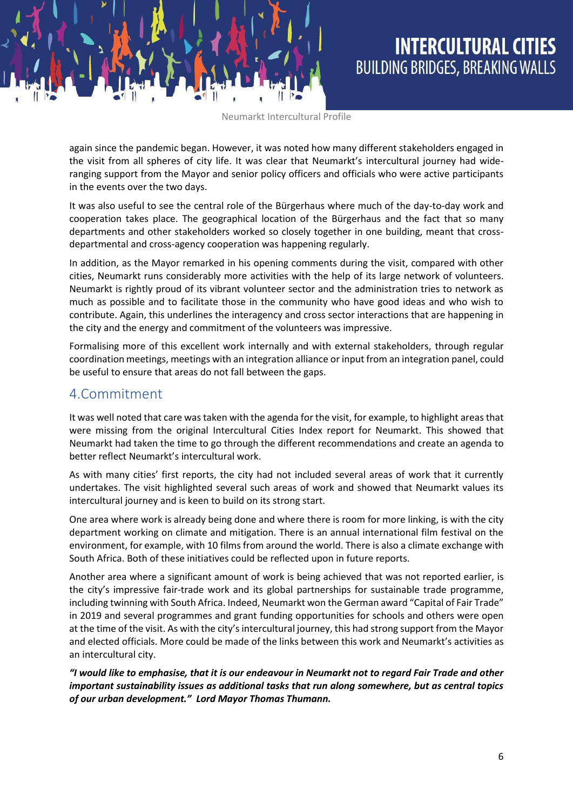again since the pandemic began. However, it was noted how many different stakeholders engaged in the visit from all spheres of city life. It was clear that Neumarkt's intercultural journey had wideranging support from the Mayor and senior policy officers and officials who were active participants in the events over the two days.

It was also useful to see the central role of the Bürgerhaus where much of the day-to-day work and cooperation takes place. The geographical location of the Bürgerhaus and the fact that so many departments and other stakeholders worked so closely together in one building, meant that crossdepartmental and cross-agency cooperation was happening regularly.

In addition, as the Mayor remarked in his opening comments during the visit, compared with other cities, Neumarkt runs considerably more activities with the help of its large network of volunteers. Neumarkt is rightly proud of its vibrant volunteer sector and the administration tries to network as much as possible and to facilitate those in the community who have good ideas and who wish to contribute. Again, this underlines the interagency and cross sector interactions that are happening in the city and the energy and commitment of the volunteers was impressive.

Formalising more of this excellent work internally and with external stakeholders, through regular coordination meetings, meetings with an integration alliance or input from an integration panel, could be useful to ensure that areas do not fall between the gaps.

### 4.Commitment

It was well noted that care was taken with the agenda for the visit, for example, to highlight areas that were missing from the original Intercultural Cities Index report for Neumarkt. This showed that Neumarkt had taken the time to go through the different recommendations and create an agenda to better reflect Neumarkt's intercultural work.

As with many cities' first reports, the city had not included several areas of work that it currently undertakes. The visit highlighted several such areas of work and showed that Neumarkt values its intercultural journey and is keen to build on its strong start.

One area where work is already being done and where there is room for more linking, is with the city department working on climate and mitigation. There is an annual international film festival on the environment, for example, with 10 films from around the world. There is also a climate exchange with South Africa. Both of these initiatives could be reflected upon in future reports.

Another area where a significant amount of work is being achieved that was not reported earlier, is the city's impressive fair-trade work and its global partnerships for sustainable trade programme, including twinning with South Africa. Indeed, Neumarkt won the German award "Capital of Fair Trade" in 2019 and several programmes and grant funding opportunities for schools and others were open at the time of the visit. As with the city's intercultural journey, this had strong support from the Mayor and elected officials. More could be made of the links between this work and Neumarkt's activities as an intercultural city.

*"I would like to emphasise, that it is our endeavour in Neumarkt not to regard Fair Trade and other important sustainability issues as additional tasks that run along somewhere, but as central topics of our urban development." Lord Mayor Thomas Thumann.*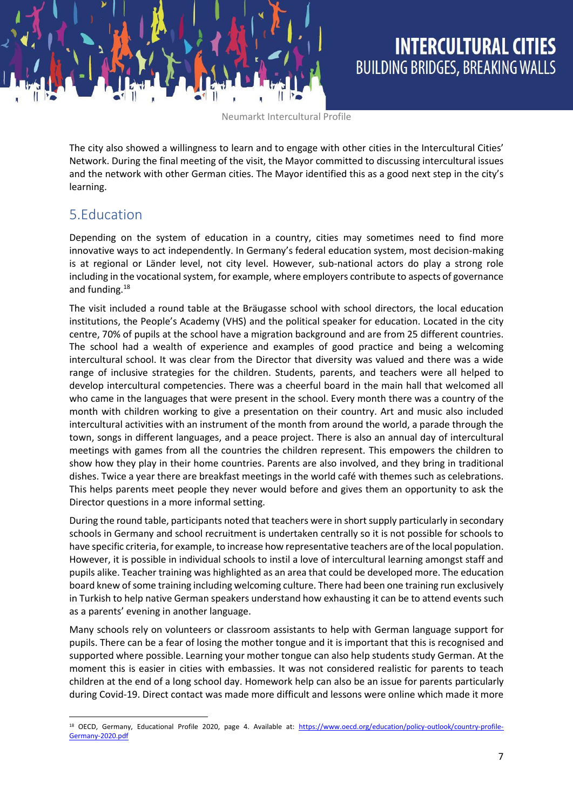The city also showed a willingness to learn and to engage with other cities in the Intercultural Cities' Network. During the final meeting of the visit, the Mayor committed to discussing intercultural issues and the network with other German cities. The Mayor identified this as a good next step in the city's learning.

### 5.Education

1

Depending on the system of education in a country, cities may sometimes need to find more innovative ways to act independently. In Germany's federal education system, most decision-making is at regional or Länder level, not city level. However, sub-national actors do play a strong role including in the vocational system, for example, where employers contribute to aspects of governance and funding.<sup>18</sup>

The visit included a round table at the Bräugasse school with school directors, the local education institutions, the People's Academy (VHS) and the political speaker for education. Located in the city centre, 70% of pupils at the school have a migration background and are from 25 different countries. The school had a wealth of experience and examples of good practice and being a welcoming intercultural school. It was clear from the Director that diversity was valued and there was a wide range of inclusive strategies for the children. Students, parents, and teachers were all helped to develop intercultural competencies. There was a cheerful board in the main hall that welcomed all who came in the languages that were present in the school. Every month there was a country of the month with children working to give a presentation on their country. Art and music also included intercultural activities with an instrument of the month from around the world, a parade through the town, songs in different languages, and a peace project. There is also an annual day of intercultural meetings with games from all the countries the children represent. This empowers the children to show how they play in their home countries. Parents are also involved, and they bring in traditional dishes. Twice a year there are breakfast meetings in the world café with themes such as celebrations. This helps parents meet people they never would before and gives them an opportunity to ask the Director questions in a more informal setting.

During the round table, participants noted that teachers were in short supply particularly in secondary schools in Germany and school recruitment is undertaken centrally so it is not possible for schools to have specific criteria, for example, to increase how representative teachers are of the local population. However, it is possible in individual schools to instil a love of intercultural learning amongst staff and pupils alike. Teacher training was highlighted as an area that could be developed more. The education board knew of some training including welcoming culture. There had been one training run exclusively in Turkish to help native German speakers understand how exhausting it can be to attend events such as a parents' evening in another language.

Many schools rely on volunteers or classroom assistants to help with German language support for pupils. There can be a fear of losing the mother tongue and it is important that this is recognised and supported where possible. Learning your mother tongue can also help students study German. At the moment this is easier in cities with embassies. It was not considered realistic for parents to teach children at the end of a long school day. Homework help can also be an issue for parents particularly during Covid-19. Direct contact was made more difficult and lessons were online which made it more

<sup>&</sup>lt;sup>18</sup> OECD, Germany, Educational Profile 2020, page 4. Available at: [https://www.oecd.org/education/policy-outlook/country-profile-](https://www.oecd.org/education/policy-outlook/country-profile-Germany-2020.pdf)[Germany-2020.pdf](https://www.oecd.org/education/policy-outlook/country-profile-Germany-2020.pdf)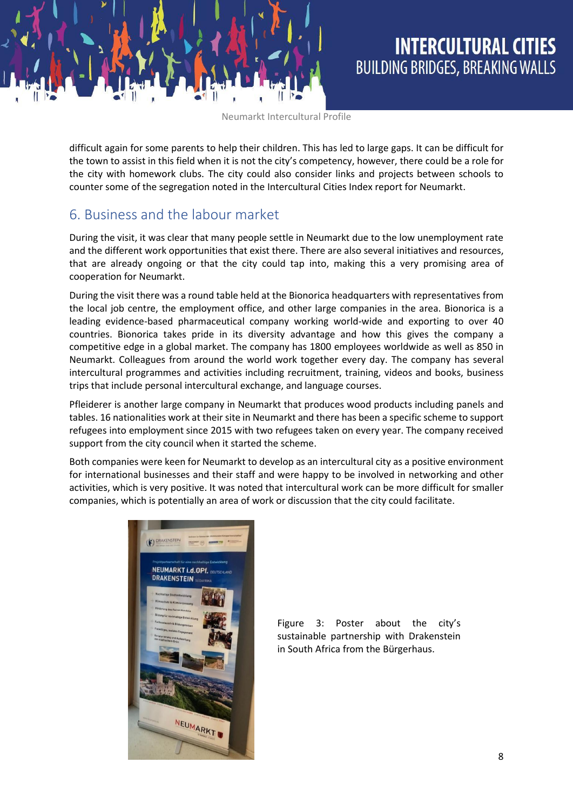difficult again for some parents to help their children. This has led to large gaps. It can be difficult for the town to assist in this field when it is not the city's competency, however, there could be a role for the city with homework clubs. The city could also consider links and projects between schools to counter some of the segregation noted in the Intercultural Cities Index report for Neumarkt.

### 6. Business and the labour market

During the visit, it was clear that many people settle in Neumarkt due to the low unemployment rate and the different work opportunities that exist there. There are also several initiatives and resources, that are already ongoing or that the city could tap into, making this a very promising area of cooperation for Neumarkt.

During the visit there was a round table held at the Bionorica headquarters with representatives from the local job centre, the employment office, and other large companies in the area. Bionorica is a leading evidence-based pharmaceutical company working world-wide and exporting to over 40 countries. Bionorica takes pride in its diversity advantage and how this gives the company a competitive edge in a global market. The company has 1800 employees worldwide as well as 850 in Neumarkt. Colleagues from around the world work together every day. The company has several intercultural programmes and activities including recruitment, training, videos and books, business trips that include personal intercultural exchange, and language courses.

Pfleiderer is another large company in Neumarkt that produces wood products including panels and tables. 16 nationalities work at their site in Neumarkt and there has been a specific scheme to support refugees into employment since 2015 with two refugees taken on every year. The company received support from the city council when it started the scheme.

Both companies were keen for Neumarkt to develop as an intercultural city as a positive environment for international businesses and their staff and were happy to be involved in networking and other activities, which is very positive. It was noted that intercultural work can be more difficult for smaller companies, which is potentially an area of work or discussion that the city could facilitate.



Figure 3: Poster about the city's sustainable partnership with Drakenstein in South Africa from the Bürgerhaus.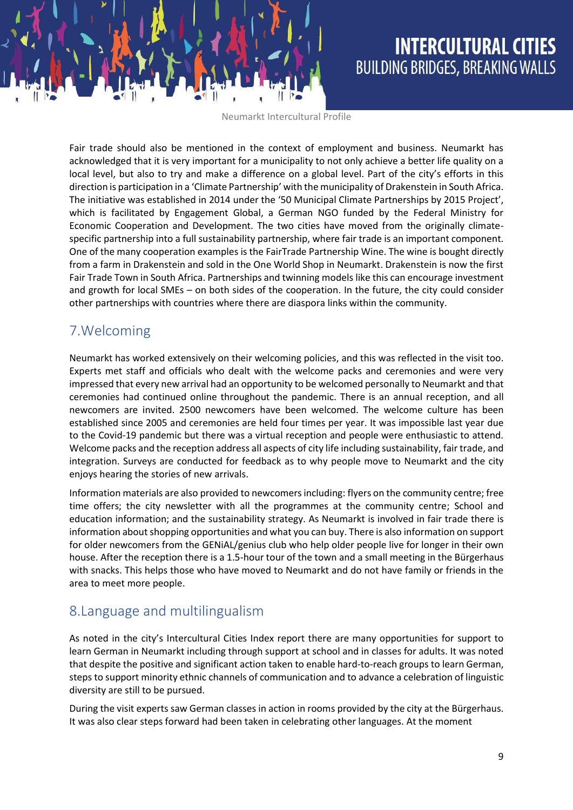Fair trade should also be mentioned in the context of employment and business. Neumarkt has acknowledged that it is very important for a municipality to not only achieve a better life quality on a local level, but also to try and make a difference on a global level. Part of the city's efforts in this direction is participation in a 'Climate Partnership' with the municipality of Drakenstein in South Africa. The initiative was established in 2014 under the '50 Municipal Climate Partnerships by 2015 Project', which is facilitated by Engagement Global, a German NGO funded by the Federal Ministry for Economic Cooperation and Development. The two cities have moved from the originally climatespecific partnership into a full sustainability partnership, where fair trade is an important component. One of the many cooperation examples is the FairTrade Partnership Wine. The wine is bought directly from a farm in Drakenstein and sold in the One World Shop in Neumarkt. Drakenstein is now the first Fair Trade Town in South Africa. Partnerships and twinning models like this can encourage investment and growth for local SMEs – on both sides of the cooperation. In the future, the city could consider other partnerships with countries where there are diaspora links within the community.

### 7.Welcoming

Neumarkt has worked extensively on their welcoming policies, and this was reflected in the visit too. Experts met staff and officials who dealt with the welcome packs and ceremonies and were very impressed that every new arrival had an opportunity to be welcomed personally to Neumarkt and that ceremonies had continued online throughout the pandemic. There is an annual reception, and all newcomers are invited. 2500 newcomers have been welcomed. The welcome culture has been established since 2005 and ceremonies are held four times per year. It was impossible last year due to the Covid-19 pandemic but there was a virtual reception and people were enthusiastic to attend. Welcome packs and the reception address all aspects of city life including sustainability, fair trade, and integration. Surveys are conducted for feedback as to why people move to Neumarkt and the city enjoys hearing the stories of new arrivals.

Information materials are also provided to newcomers including: flyers on the community centre; free time offers; the city newsletter with all the programmes at the community centre; School and education information; and the sustainability strategy. As Neumarkt is involved in fair trade there is information about shopping opportunities and what you can buy. There is also information on support for older newcomers from the GENiAL/genius club who help older people live for longer in their own house. After the reception there is a 1.5-hour tour of the town and a small meeting in the Bürgerhaus with snacks. This helps those who have moved to Neumarkt and do not have family or friends in the area to meet more people.

### 8.Language and multilingualism

As noted in the city's Intercultural Cities Index report there are many opportunities for support to learn German in Neumarkt including through support at school and in classes for adults. It was noted that despite the positive and significant action taken to enable hard-to-reach groups to learn German, steps to support minority ethnic channels of communication and to advance a celebration of linguistic diversity are still to be pursued.

During the visit experts saw German classes in action in rooms provided by the city at the Bürgerhaus. It was also clear steps forward had been taken in celebrating other languages. At the moment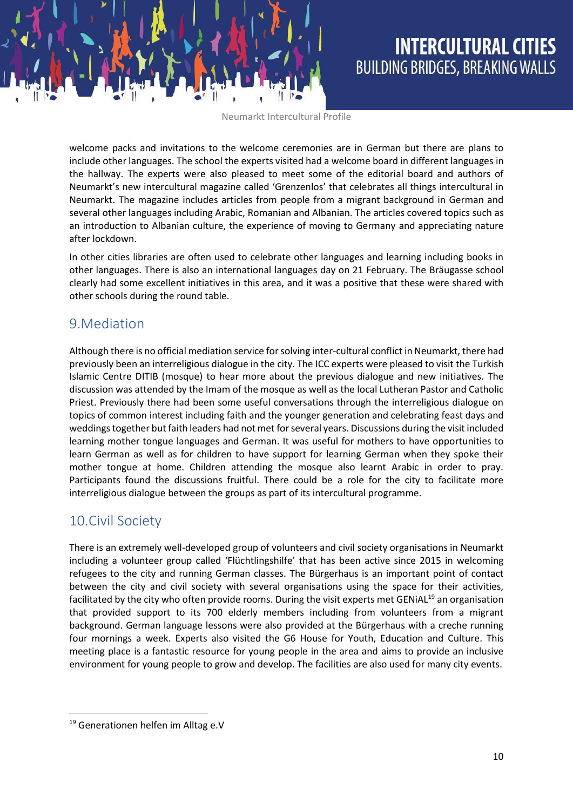welcome packs and invitations to the welcome ceremonies are in German but there are plans to include other languages. The school the experts visited had a welcome board in different languages in the hallway. The experts were also pleased to meet some of the editorial board and authors of Neumarkt's new intercultural magazine called 'Grenzenlos' that celebrates all things intercultural in Neumarkt. The magazine includes articles from people from a migrant background in German and several other languages including Arabic, Romanian and Albanian. The articles covered topics such as an introduction to Albanian culture, the experience of moving to Germany and appreciating nature after lockdown.

In other cities libraries are often used to celebrate other languages and learning including books in other languages. There is also an international languages day on 21 February. The Bräugasse school clearly had some excellent initiatives in this area, and it was a positive that these were shared with other schools during the round table.

### 9.Mediation

Although there is no official mediation service for solving inter-cultural conflict in Neumarkt, there had previously been an interreligious dialogue in the city. The ICC experts were pleased to visit the Turkish Islamic Centre DITIB (mosque) to hear more about the previous dialogue and new initiatives. The discussion was attended by the Imam of the mosque as well as the local Lutheran Pastor and Catholic Priest. Previously there had been some useful conversations through the interreligious dialogue on topics of common interest including faith and the younger generation and celebrating feast days and weddingstogether but faith leaders had not met for several years. Discussions during the visitincluded learning mother tongue languages and German. It was useful for mothers to have opportunities to learn German as well as for children to have support for learning German when they spoke their mother tongue at home. Children attending the mosque also learnt Arabic in order to pray. Participants found the discussions fruitful. There could be a role for the city to facilitate more interreligious dialogue between the groups as part of its intercultural programme.

### 10.Civil Society

There is an extremely well-developed group of volunteers and civil society organisations in Neumarkt including a volunteer group called 'Flüchtlingshilfe' that has been active since 2015 in welcoming refugees to the city and running German classes. The Bürgerhaus is an important point of contact between the city and civil society with several organisations using the space for their activities, facilitated by the city who often provide rooms. During the visit experts met GENiAL<sup>19</sup> an organisation that provided support to its 700 elderly members including from volunteers from a migrant background. German language lessons were also provided at the Bürgerhaus with a creche running four mornings a week. Experts also visited the G6 House for Youth, Education and Culture. This meeting place is a fantastic resource for young people in the area and aims to provide an inclusive environment for young people to grow and develop. The facilities are also used for many city events.

**.** 

<sup>&</sup>lt;sup>19</sup> Generationen helfen im Alltag e.V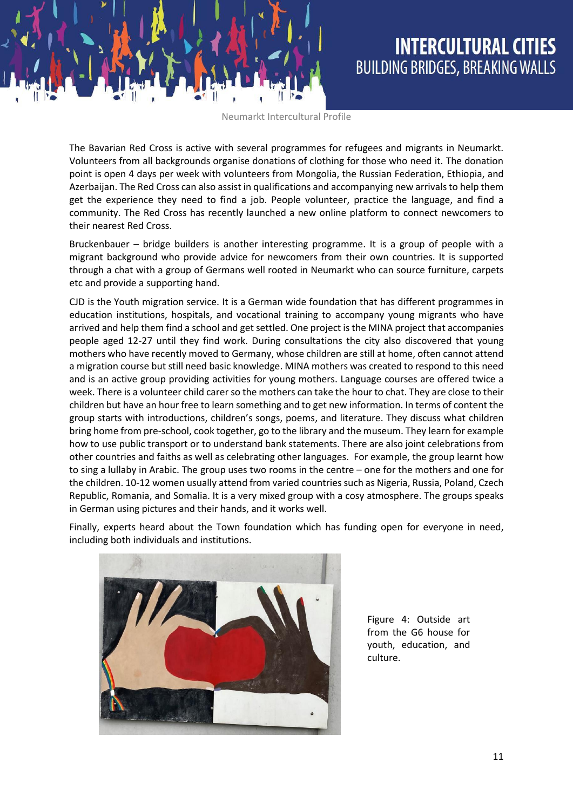The Bavarian Red Cross is active with several programmes for refugees and migrants in Neumarkt. Volunteers from all backgrounds organise donations of clothing for those who need it. The donation point is open 4 days per week with volunteers from Mongolia, the Russian Federation, Ethiopia, and Azerbaijan. The Red Cross can also assist in qualifications and accompanying new arrivals to help them get the experience they need to find a job. People volunteer, practice the language, and find a community. The Red Cross has recently launched a new online platform to connect newcomers to their nearest Red Cross.

Bruckenbauer – bridge builders is another interesting programme. It is a group of people with a migrant background who provide advice for newcomers from their own countries. It is supported through a chat with a group of Germans well rooted in Neumarkt who can source furniture, carpets etc and provide a supporting hand.

CJD is the Youth migration service. It is a German wide foundation that has different programmes in education institutions, hospitals, and vocational training to accompany young migrants who have arrived and help them find a school and get settled. One project is the MINA project that accompanies people aged 12-27 until they find work. During consultations the city also discovered that young mothers who have recently moved to Germany, whose children are still at home, often cannot attend a migration course but still need basic knowledge. MINA mothers was created to respond to this need and is an active group providing activities for young mothers. Language courses are offered twice a week. There is a volunteer child carer so the mothers can take the hour to chat. They are close to their children but have an hour free to learn something and to get new information. In terms of content the group starts with introductions, children's songs, poems, and literature. They discuss what children bring home from pre-school, cook together, go to the library and the museum. They learn for example how to use public transport or to understand bank statements. There are also joint celebrations from other countries and faiths as well as celebrating other languages. For example, the group learnt how to sing a lullaby in Arabic. The group uses two rooms in the centre – one for the mothers and one for the children. 10-12 women usually attend from varied countries such as Nigeria, Russia, Poland, Czech Republic, Romania, and Somalia. It is a very mixed group with a cosy atmosphere. The groups speaks in German using pictures and their hands, and it works well.

Finally, experts heard about the Town foundation which has funding open for everyone in need, including both individuals and institutions.



Figure 4: Outside art from the G6 house for youth, education, and culture.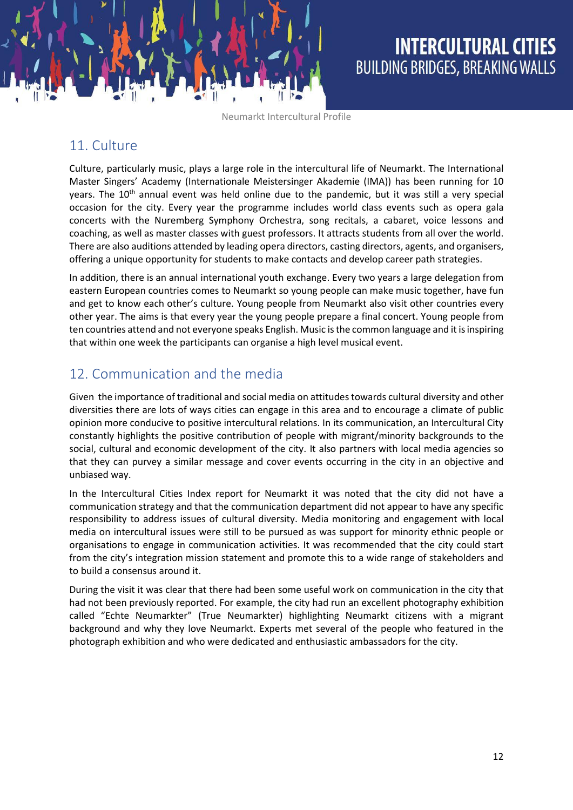### 11. Culture

Culture, particularly music, plays a large role in the intercultural life of Neumarkt. The International Master Singers' Academy (Internationale Meistersinger Akademie (IMA)) has been running for 10 years. The 10<sup>th</sup> annual event was held online due to the pandemic, but it was still a very special occasion for the city. Every year the programme includes world class events such as opera gala concerts with the Nuremberg Symphony Orchestra, song recitals, a cabaret, voice lessons and coaching, as well as master classes with guest professors. It attracts students from all over the world. There are also auditions attended by leading opera directors, casting directors, agents, and organisers, offering a unique opportunity for students to make contacts and develop career path strategies.

In addition, there is an annual international youth exchange. Every two years a large delegation from eastern European countries comes to Neumarkt so young people can make music together, have fun and get to know each other's culture. Young people from Neumarkt also visit other countries every other year. The aims is that every year the young people prepare a final concert. Young people from ten countries attend and not everyone speaks English. Music is the common language and it is inspiring that within one week the participants can organise a high level musical event.

### 12. Communication and the media

Given the importance of traditional and social media on attitudes towards cultural diversity and other diversities there are lots of ways cities can engage in this area and to encourage a climate of public opinion more conducive to positive intercultural relations. In its communication, an Intercultural City constantly highlights the positive contribution of people with migrant/minority backgrounds to the social, cultural and economic development of the city. It also partners with local media agencies so that they can purvey a similar message and cover events occurring in the city in an objective and unbiased way.

In the Intercultural Cities Index report for Neumarkt it was noted that the city did not have a communication strategy and that the communication department did not appear to have any specific responsibility to address issues of cultural diversity. Media monitoring and engagement with local media on intercultural issues were still to be pursued as was support for minority ethnic people or organisations to engage in communication activities. It was recommended that the city could start from the city's integration mission statement and promote this to a wide range of stakeholders and to build a consensus around it.

During the visit it was clear that there had been some useful work on communication in the city that had not been previously reported. For example, the city had run an excellent photography exhibition called "Echte Neumarkter" (True Neumarkter) highlighting Neumarkt citizens with a migrant background and why they love Neumarkt. Experts met several of the people who featured in the photograph exhibition and who were dedicated and enthusiastic ambassadors for the city.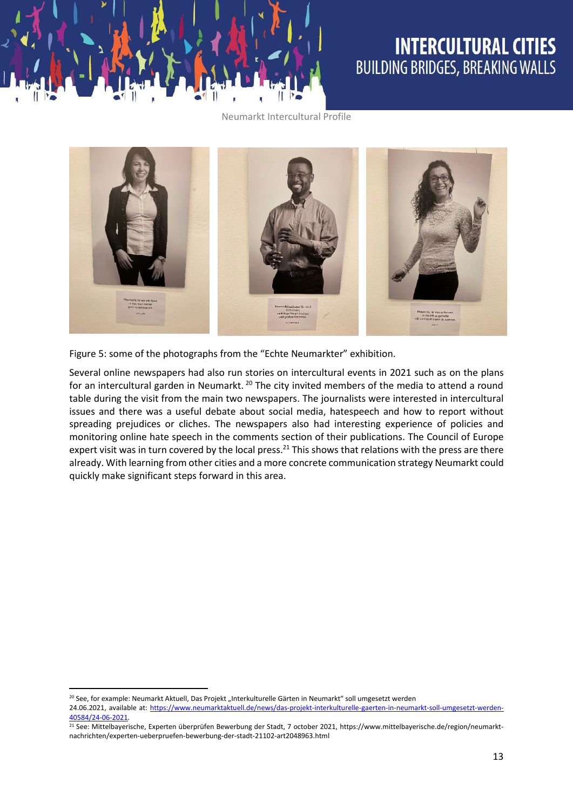



Figure 5: some of the photographs from the "Echte Neumarkter" exhibition.

Several online newspapers had also run stories on intercultural events in 2021 such as on the plans for an intercultural garden in Neumarkt. <sup>20</sup> The city invited members of the media to attend a round table during the visit from the main two newspapers. The journalists were interested in intercultural issues and there was a useful debate about social media, hatespeech and how to report without spreading prejudices or cliches. The newspapers also had interesting experience of policies and monitoring online hate speech in the comments section of their publications. The Council of Europe expert visit was in turn covered by the local press.<sup>21</sup> This shows that relations with the press are there already. With learning from other cities and a more concrete communication strategy Neumarkt could quickly make significant steps forward in this area.

**.** 

<sup>&</sup>lt;sup>20</sup> See, for example: Neumarkt Aktuell, Das Projekt "Interkulturelle Gärten in Neumarkt" soll umgesetzt werden

<sup>24.06.2021,</sup> available at: [https://www.neumarktaktuell.de/news/das-projekt-interkulturelle-gaerten-in-neumarkt-soll-umgesetzt-werden-](https://www.neumarktaktuell.de/news/das-projekt-interkulturelle-gaerten-in-neumarkt-soll-umgesetzt-werden-40584/24-06-2021)[40584/24-06-2021.](https://www.neumarktaktuell.de/news/das-projekt-interkulturelle-gaerten-in-neumarkt-soll-umgesetzt-werden-40584/24-06-2021) 

<sup>&</sup>lt;sup>21</sup> See: Mittelbayerische, Experten überprüfen Bewerbung der Stadt, 7 october 2021, https://www.mittelbayerische.de/region/neumarktnachrichten/experten-ueberpruefen-bewerbung-der-stadt-21102-art2048963.html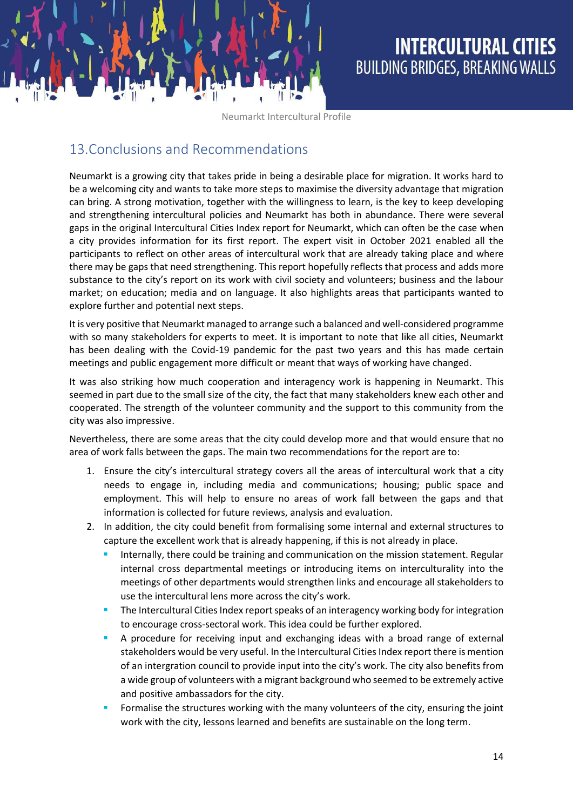### 13.Conclusions and Recommendations

Neumarkt is a growing city that takes pride in being a desirable place for migration. It works hard to be a welcoming city and wants to take more steps to maximise the diversity advantage that migration can bring. A strong motivation, together with the willingness to learn, is the key to keep developing and strengthening intercultural policies and Neumarkt has both in abundance. There were several gaps in the original Intercultural Cities Index report for Neumarkt, which can often be the case when a city provides information for its first report. The expert visit in October 2021 enabled all the participants to reflect on other areas of intercultural work that are already taking place and where there may be gaps that need strengthening. This report hopefully reflects that process and adds more substance to the city's report on its work with civil society and volunteers; business and the labour market; on education; media and on language. It also highlights areas that participants wanted to explore further and potential next steps.

It is very positive that Neumarkt managed to arrange such a balanced and well-considered programme with so many stakeholders for experts to meet. It is important to note that like all cities, Neumarkt has been dealing with the Covid-19 pandemic for the past two years and this has made certain meetings and public engagement more difficult or meant that ways of working have changed.

It was also striking how much cooperation and interagency work is happening in Neumarkt. This seemed in part due to the small size of the city, the fact that many stakeholders knew each other and cooperated. The strength of the volunteer community and the support to this community from the city was also impressive.

Nevertheless, there are some areas that the city could develop more and that would ensure that no area of work falls between the gaps. The main two recommendations for the report are to:

- 1. Ensure the city's intercultural strategy covers all the areas of intercultural work that a city needs to engage in, including media and communications; housing; public space and employment. This will help to ensure no areas of work fall between the gaps and that information is collected for future reviews, analysis and evaluation.
- 2. In addition, the city could benefit from formalising some internal and external structures to capture the excellent work that is already happening, if this is not already in place.
	- Internally, there could be training and communication on the mission statement. Regular internal cross departmental meetings or introducing items on interculturality into the meetings of other departments would strengthen links and encourage all stakeholders to use the intercultural lens more across the city's work.
	- The Intercultural Cities Index report speaks of an interagency working body for integration to encourage cross-sectoral work. This idea could be further explored.
	- A procedure for receiving input and exchanging ideas with a broad range of external stakeholders would be very useful. In the Intercultural Cities Index report there is mention of an intergration council to provide input into the city's work. The city also benefits from a wide group of volunteers with a migrant background who seemed to be extremely active and positive ambassadors for the city.
	- Formalise the structures working with the many volunteers of the city, ensuring the joint work with the city, lessons learned and benefits are sustainable on the long term.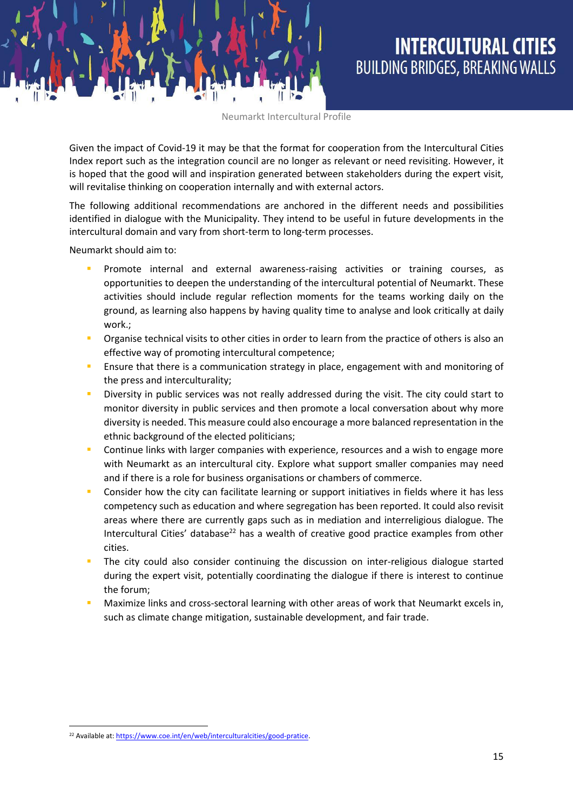Given the impact of Covid-19 it may be that the format for cooperation from the Intercultural Cities Index report such as the integration council are no longer as relevant or need revisiting. However, it is hoped that the good will and inspiration generated between stakeholders during the expert visit, will revitalise thinking on cooperation internally and with external actors.

The following additional recommendations are anchored in the different needs and possibilities identified in dialogue with the Municipality. They intend to be useful in future developments in the intercultural domain and vary from short-term to long-term processes.

Neumarkt should aim to:

- Promote internal and external awareness-raising activities or training courses, as opportunities to deepen the understanding of the intercultural potential of Neumarkt. These activities should include regular reflection moments for the teams working daily on the ground, as learning also happens by having quality time to analyse and look critically at daily work.;
- Organise technical visits to other cities in order to learn from the practice of others is also an effective way of promoting intercultural competence;
- Ensure that there is a communication strategy in place, engagement with and monitoring of the press and interculturality;
- Diversity in public services was not really addressed during the visit. The city could start to monitor diversity in public services and then promote a local conversation about why more diversity is needed. This measure could also encourage a more balanced representation in the ethnic background of the elected politicians;
- Continue links with larger companies with experience, resources and a wish to engage more with Neumarkt as an intercultural city. Explore what support smaller companies may need and if there is a role for business organisations or chambers of commerce.
- Consider how the city can facilitate learning or support initiatives in fields where it has less competency such as education and where segregation has been reported. It could also revisit areas where there are currently gaps such as in mediation and interreligious dialogue. The Intercultural Cities' database<sup>22</sup> has a wealth of creative good practice examples from other cities.
- The city could also consider continuing the discussion on inter-religious dialogue started during the expert visit, potentially coordinating the dialogue if there is interest to continue the forum;
- Maximize links and cross-sectoral learning with other areas of work that Neumarkt excels in, such as climate change mitigation, sustainable development, and fair trade.

 $\overline{a}$ 

<sup>&</sup>lt;sup>22</sup> Available at: https://www.coe.int/en/web/interculturalcities/good-pratice.